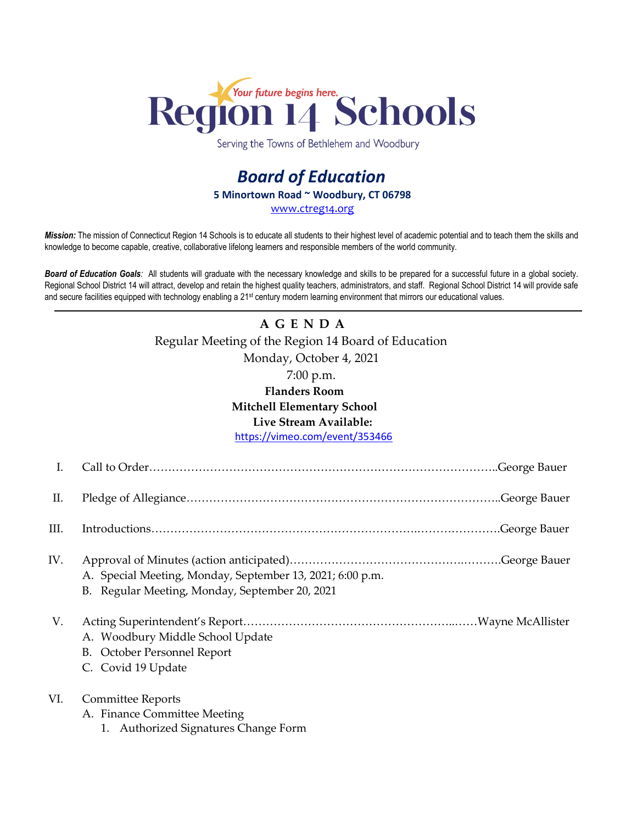

Serving the Towns of Bethlehem and Woodbury

## *Board of Education* **5 Minortown Road ~ Woodbury, CT 06798** [www.ctreg14.org](http://www.ctreg14.org/)

*Mission:* The mission of Connecticut Region 14 Schools is to educate all students to their highest level of academic potential and to teach them the skills and knowledge to become capable, creative, collaborative lifelong learners and responsible members of the world community.

*Board of Education Goals:* All students will graduate with the necessary knowledge and skills to be prepared for a successful future in a global society. Regional School District 14 will attract, develop and retain the highest quality teachers, administrators, and staff. Regional School District 14 will provide safe and secure facilities equipped with technology enabling a 21<sup>st</sup> century modern learning environment that mirrors our educational values.

## **A G E N D A** Regular Meeting of the Region 14 Board of Education Monday, October 4, 2021 7:00 p.m.

## **Flanders Room Mitchell Elementary School Live Stream Available:**

<https://vimeo.com/event/353466>

| I.   |                                                                                                             |
|------|-------------------------------------------------------------------------------------------------------------|
| П.   |                                                                                                             |
| III. |                                                                                                             |
| IV.  | A. Special Meeting, Monday, September 13, 2021; 6:00 p.m.<br>B. Regular Meeting, Monday, September 20, 2021 |
| V.   | A. Woodbury Middle School Update<br>B. October Personnel Report<br>C. Covid 19 Update                       |
| VI.  | <b>Committee Reports</b><br>A. Finance Committee Meeting<br>1. Authorized Signatures Change Form            |